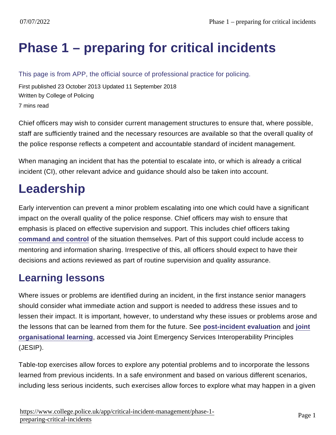# [Phase 1 – preparing for critical incidents](https://www.college.police.uk/app/critical-incident-management/phase-1-preparing-critical-incidents)

This page is from APP, the official source of professional practice for policing.

First published 23 October 2013 Updated 11 September 2018 Written by College of Policing 7 mins read

Chief officers may wish to consider current management structures to ensure that, where possible, staff are sufficiently trained and the necessary resources are available so that the overall quality of the police response reflects a competent and accountable standard of incident management.

When managing an incident that has the potential to escalate into, or which is already a critical incident (CI), other relevant advice and guidance should also be taken into account.

# Leadership

Early intervention can prevent a minor problem escalating into one which could have a significant impact on the overall quality of the police response. Chief officers may wish to ensure that emphasis is placed on effective supervision and support. This includes chief officers taking [command and control](https://www.app.college.police.uk/app-content/operations/command-and-control/) of the situation themselves. Part of this support could include access to mentoring and information sharing. Irrespective of this, all officers should expect to have their decisions and actions reviewed as part of routine supervision and quality assurance.

#### Learning lessons

Where issues or problems are identified during an incident, in the first instance senior managers should consider what immediate action and support is needed to address these issues and to lessen their impact. It is important, however, to understand why these issues or problems arose and the lessons that can be learned from them for the future. See [post-incident evaluation](https://www.app.college.police.uk/app-content/critical-incident-management/phase-2-managing-critical-incidents/#post-incident-evaluation) and [joint](https://jesip.org.uk/what-is-jol) [organisational learning](https://jesip.org.uk/what-is-jol) , accessed via Joint Emergency Services Interoperability Principles (JESIP).

Table-top exercises allow forces to explore any potential problems and to incorporate the lessons learned from previous incidents. In a safe environment and based on various different scenarios, including less serious incidents, such exercises allow forces to explore what may happen in a given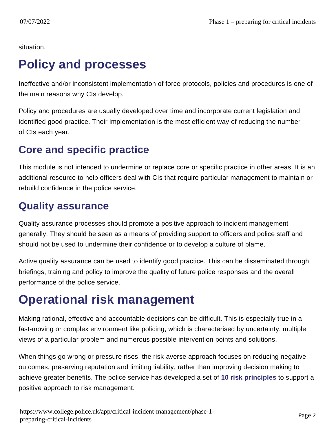situation.

## Policy and processes

Ineffective and/or inconsistent implementation of force protocols, policies and procedures is one of the main reasons why CIs develop.

Policy and procedures are usually developed over time and incorporate current legislation and identified good practice. Their implementation is the most efficient way of reducing the number of CIs each year.

## Core and specific practice

This module is not intended to undermine or replace core or specific practice in other areas. It is an additional resource to help officers deal with CIs that require particular management to maintain or rebuild confidence in the police service.

#### Quality assurance

Quality assurance processes should promote a positive approach to incident management generally. They should be seen as a means of providing support to officers and police staff and should not be used to undermine their confidence or to develop a culture of blame.

Active quality assurance can be used to identify good practice. This can be disseminated through briefings, training and policy to improve the quality of future police responses and the overall performance of the police service.

# Operational risk management

Making rational, effective and accountable decisions can be difficult. This is especially true in a fast-moving or complex environment like policing, which is characterised by uncertainty, multiple views of a particular problem and numerous possible intervention points and solutions.

When things go wrong or pressure rises, the risk-averse approach focuses on reducing negative outcomes, preserving reputation and limiting liability, rather than improving decision making to achieve greater benefits. The police service has developed a set of [10 risk principles](https://www.app.college.police.uk/app-content/risk-2/risk/) to support a positive approach to risk management.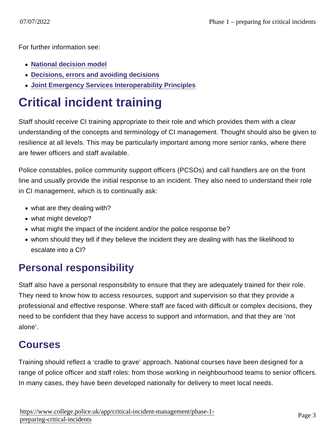For further information see:

- [National decision model](https://www.app.college.police.uk/app-content/the-national-decision-model/?s=)
- [Decisions, errors and avoiding decisions](https://www.app.college.police.uk/app-content/critical-incident-management/types-of-critical-incident/#decisions-errors-and-avoiding-decisions)
- [Joint Emergency Services Interoperability Principles](https://jesip.org.uk/home)

# Critical incident training

Staff should receive CI training appropriate to their role and which provides them with a clear understanding of the concepts and terminology of CI management. Thought should also be given to resilience at all levels. This may be particularly important among more senior ranks, where there are fewer officers and staff available.

Police constables, police community support officers (PCSOs) and call handlers are on the front line and usually provide the initial response to an incident. They also need to understand their role in CI management, which is to continually ask:

- what are they dealing with?
- what might develop?
- what might the impact of the incident and/or the police response be?
- whom should they tell if they believe the incident they are dealing with has the likelihood to escalate into a CI?

### Personal responsibility

Staff also have a personal responsibility to ensure that they are adequately trained for their role. They need to know how to access resources, support and supervision so that they provide a professional and effective response. Where staff are faced with difficult or complex decisions, they need to be confident that they have access to support and information, and that they are 'not alone'.

#### Courses

Training should reflect a 'cradle to grave' approach. National courses have been designed for a range of police officer and staff roles: from those working in neighbourhood teams to senior officers. In many cases, they have been developed nationally for delivery to meet local needs.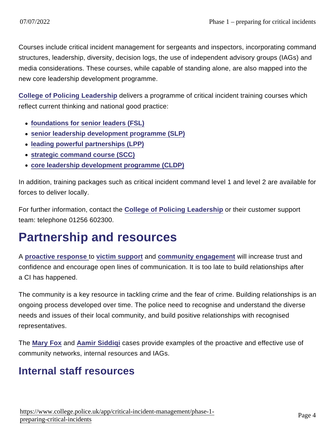Courses include critical incident management for sergeants and inspectors, incorporating command structures, leadership, diversity, decision logs, the use of independent advisory groups (IAGs) and media considerations. These courses, while capable of standing alone, are also mapped into the new core leadership development programme.

[College of Policing Leadership](mailto:leadershipbramshill@college.pnn.police.uk?subject=Authorised Professional Practice Enquiry) delivers a programme of critical incident training courses which reflect current thinking and national good practice:

- [foundations for senior leaders \(FSL\)](http://www.college.police.uk/en/14721.htm)
- [senior leadership development programme \(SLP\)](http://www.college.police.uk/en/6088.htm)
- [leading powerful partnerships \(LPP\)](http://www.college.police.uk/en/14895.htm)
- [strategic command course \(SCC\)](http://www.college.police.uk/en/6090.htm)
- [core leadership development programme \(CLDP\)](http://www.ncalt.com/)

In addition, training packages such as critical incident command level 1 and level 2 are available for forces to deliver locally.

For further information, contact the [College of Policing Leadership](mailto:leadershipbramshill@college.pnn.police.uk?subject=Authorised Professional Practice Enquiry) or their customer support team: telephone 01256 602300.

## Partnership and resources

A [proactive response t](https://www.app.college.police.uk/app-content/critical-incident-management/types-of-critical-incident/#a-proactive-response)o [victim support](https://www.app.college.police.uk/app-content/investigations/victims-and-witnesses/#victim-and-witness-support) and [community engagement](https://www.app.college.police.uk/app-content/engagement-and-communication/engaging-with-communities/#community-engagement) will increase trust and confidence and encourage open lines of communication. It is too late to build relationships after a CI has happened.

The community is a key resource in tackling crime and the fear of crime. Building relationships is an ongoing process developed over time. The police need to recognise and understand the diverse needs and issues of their local community, and build positive relationships with recognised representatives.

The [Mary Fox](https://library.college.police.uk/docs/appref/mary-fox-v1.pdf) and [Aamir Siddiqi](https://library.college.police.uk/docs/appref/aamir-siddiqi-v1pdf.pdf) cases provide examples of the proactive and effective use of community networks, internal resources and IAGs.

#### Internal staff resources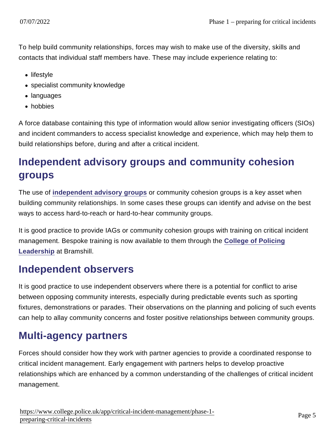To help build community relationships, forces may wish to make use of the diversity, skills and contacts that individual staff members have. These may include experience relating to:

- lifestyle
- specialist community knowledge
- languages
- hobbies

A force database containing this type of information would allow senior investigating officers (SIOs) and incident commanders to access specialist knowledge and experience, which may help them to build relationships before, during and after a critical incident.

## Independent advisory groups and community cohesion groups

The use of [independent advisory groups](https://www.app.college.police.uk/app-content/engagement-and-communication/communications/#independent-advisory-groups) or community cohesion groups is a key asset when building community relationships. In some cases these groups can identify and advise on the best ways to access hard-to-reach or hard-to-hear community groups.

It is good practice to provide IAGs or community cohesion groups with training on critical incident management. Bespoke training is now available to them through the [College of Policing](mailto:leadershipbramshill@college.pnn.police.uk?subject=Authorised Professional Practice Enquiry) [Leadership](mailto:leadershipbramshill@college.pnn.police.uk?subject=Authorised Professional Practice Enquiry) at Bramshill.

#### Independent observers

It is good practice to use independent observers where there is a potential for conflict to arise between opposing community interests, especially during predictable events such as sporting fixtures, demonstrations or parades. Their observations on the planning and policing of such events can help to allay community concerns and foster positive relationships between community groups.

### Multi-agency partners

Forces should consider how they work with partner agencies to provide a coordinated response to critical incident management. Early engagement with partners helps to develop proactive relationships which are enhanced by a common understanding of the challenges of critical incident management.